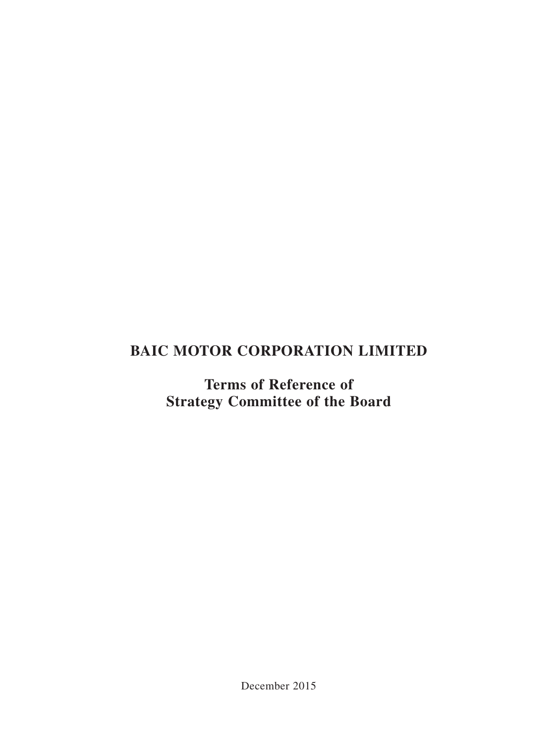# **BAIC MOTOR CORPORATION LIMITED**

**Terms of Reference of Strategy Committee of the Board**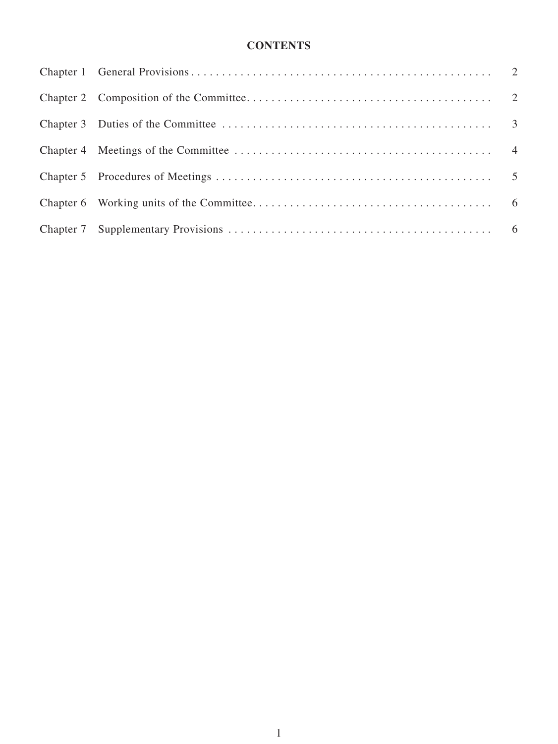# **Contents**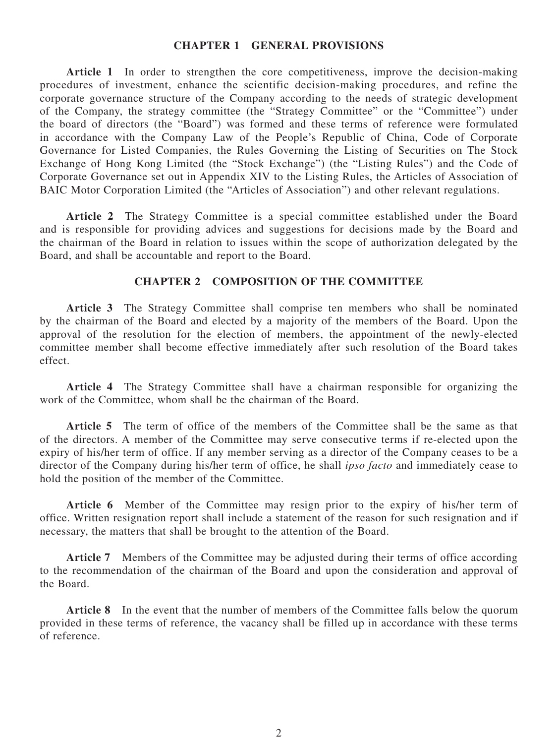#### **Chapter 1 General Provisions**

**Article 1** In order to strengthen the core competitiveness, improve the decision-making procedures of investment, enhance the scientific decision-making procedures, and refine the corporate governance structure of the Company according to the needs of strategic development of the Company, the strategy committee (the "Strategy Committee" or the "Committee") under the board of directors (the "Board") was formed and these terms of reference were formulated in accordance with the Company Law of the People's Republic of China, Code of Corporate Governance for Listed Companies, the Rules Governing the Listing of Securities on The Stock Exchange of Hong Kong Limited (the "Stock Exchange") (the "Listing Rules") and the Code of Corporate Governance set out in Appendix XIV to the Listing Rules, the Articles of Association of BAIC Motor Corporation Limited (the "Articles of Association") and other relevant regulations.

Article 2 The Strategy Committee is a special committee established under the Board and is responsible for providing advices and suggestions for decisions made by the Board and the chairman of the Board in relation to issues within the scope of authorization delegated by the Board, and shall be accountable and report to the Board.

#### **Chapter 2 Composition of the Committee**

**Article 3** The Strategy Committee shall comprise ten members who shall be nominated by the chairman of the Board and elected by a majority of the members of the Board. Upon the approval of the resolution for the election of members, the appointment of the newly-elected committee member shall become effective immediately after such resolution of the Board takes effect.

**Article 4** The Strategy Committee shall have a chairman responsible for organizing the work of the Committee, whom shall be the chairman of the Board.

**Article 5** The term of office of the members of the Committee shall be the same as that of the directors. A member of the Committee may serve consecutive terms if re-elected upon the expiry of his/her term of office. If any member serving as a director of the Company ceases to be a director of the Company during his/her term of office, he shall *ipso facto* and immediately cease to hold the position of the member of the Committee.

**Article 6** Member of the Committee may resign prior to the expiry of his/her term of office. Written resignation report shall include a statement of the reason for such resignation and if necessary, the matters that shall be brought to the attention of the Board.

**Article 7** Members of the Committee may be adjusted during their terms of office according to the recommendation of the chairman of the Board and upon the consideration and approval of the Board.

**Article 8** In the event that the number of members of the Committee falls below the quorum provided in these terms of reference, the vacancy shall be filled up in accordance with these terms of reference.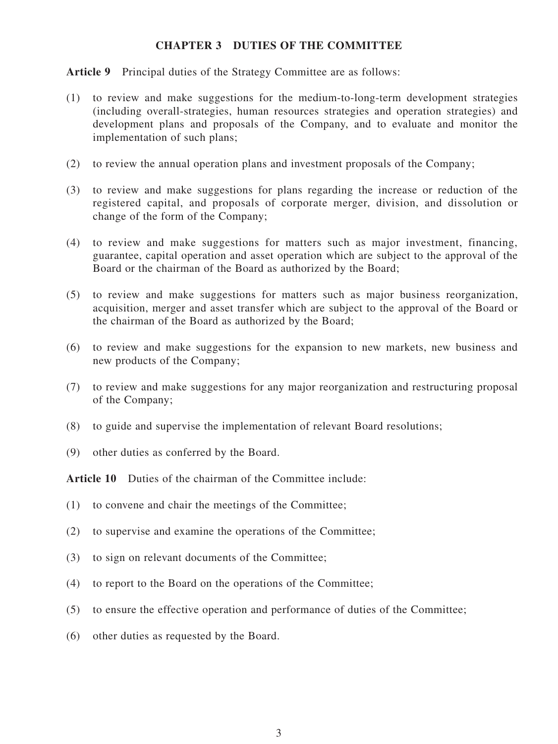### **Chapter 3 Duties of the Committee**

**Article 9** Principal duties of the Strategy Committee are as follows:

- (1) to review and make suggestions for the medium-to-long-term development strategies (including overall-strategies, human resources strategies and operation strategies) and development plans and proposals of the Company, and to evaluate and monitor the implementation of such plans;
- (2) to review the annual operation plans and investment proposals of the Company;
- (3) to review and make suggestions for plans regarding the increase or reduction of the registered capital, and proposals of corporate merger, division, and dissolution or change of the form of the Company;
- (4) to review and make suggestions for matters such as major investment, financing, guarantee, capital operation and asset operation which are subject to the approval of the Board or the chairman of the Board as authorized by the Board;
- (5) to review and make suggestions for matters such as major business reorganization, acquisition, merger and asset transfer which are subject to the approval of the Board or the chairman of the Board as authorized by the Board;
- (6) to review and make suggestions for the expansion to new markets, new business and new products of the Company;
- (7) to review and make suggestions for any major reorganization and restructuring proposal of the Company;
- (8) to guide and supervise the implementation of relevant Board resolutions;
- (9) other duties as conferred by the Board.

**Article 10** Duties of the chairman of the Committee include:

- (1) to convene and chair the meetings of the Committee;
- (2) to supervise and examine the operations of the Committee;
- (3) to sign on relevant documents of the Committee;
- (4) to report to the Board on the operations of the Committee;
- (5) to ensure the effective operation and performance of duties of the Committee;
- (6) other duties as requested by the Board.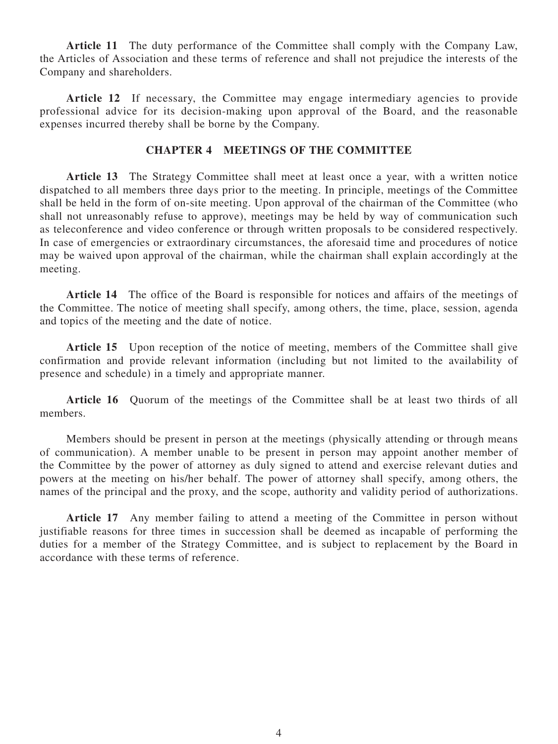**Article 11** The duty performance of the Committee shall comply with the Company Law, the Articles of Association and these terms of reference and shall not prejudice the interests of the Company and shareholders.

Article 12 If necessary, the Committee may engage intermediary agencies to provide professional advice for its decision-making upon approval of the Board, and the reasonable expenses incurred thereby shall be borne by the Company.

### **Chapter 4 Meetings of the Committee**

**Article 13** The Strategy Committee shall meet at least once a year, with a written notice dispatched to all members three days prior to the meeting. In principle, meetings of the Committee shall be held in the form of on-site meeting. Upon approval of the chairman of the Committee (who shall not unreasonably refuse to approve), meetings may be held by way of communication such as teleconference and video conference or through written proposals to be considered respectively. In case of emergencies or extraordinary circumstances, the aforesaid time and procedures of notice may be waived upon approval of the chairman, while the chairman shall explain accordingly at the meeting.

**Article 14** The office of the Board is responsible for notices and affairs of the meetings of the Committee. The notice of meeting shall specify, among others, the time, place, session, agenda and topics of the meeting and the date of notice.

Article 15 Upon reception of the notice of meeting, members of the Committee shall give confirmation and provide relevant information (including but not limited to the availability of presence and schedule) in a timely and appropriate manner.

**Article 16** Quorum of the meetings of the Committee shall be at least two thirds of all members.

Members should be present in person at the meetings (physically attending or through means of communication). A member unable to be present in person may appoint another member of the Committee by the power of attorney as duly signed to attend and exercise relevant duties and powers at the meeting on his/her behalf. The power of attorney shall specify, among others, the names of the principal and the proxy, and the scope, authority and validity period of authorizations.

**Article 17** Any member failing to attend a meeting of the Committee in person without justifiable reasons for three times in succession shall be deemed as incapable of performing the duties for a member of the Strategy Committee, and is subject to replacement by the Board in accordance with these terms of reference.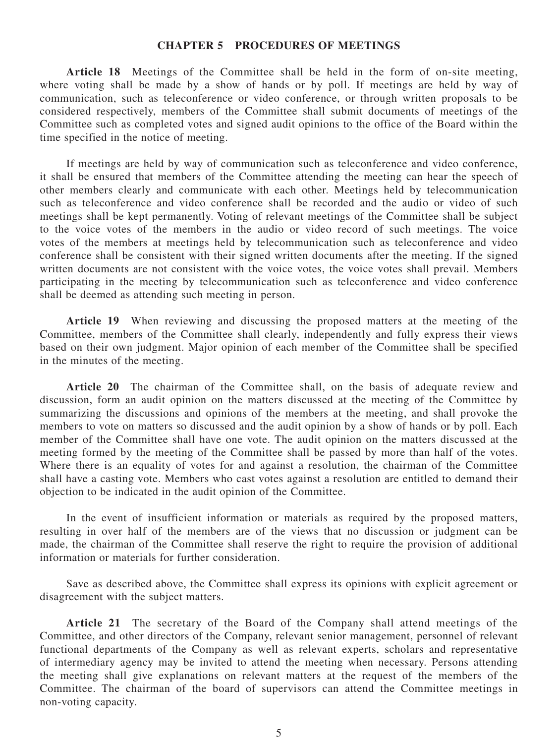#### **Chapter 5 Procedures of Meetings**

**Article 18** Meetings of the Committee shall be held in the form of on-site meeting, where voting shall be made by a show of hands or by poll. If meetings are held by way of communication, such as teleconference or video conference, or through written proposals to be considered respectively, members of the Committee shall submit documents of meetings of the Committee such as completed votes and signed audit opinions to the office of the Board within the time specified in the notice of meeting.

If meetings are held by way of communication such as teleconference and video conference, it shall be ensured that members of the Committee attending the meeting can hear the speech of other members clearly and communicate with each other. Meetings held by telecommunication such as teleconference and video conference shall be recorded and the audio or video of such meetings shall be kept permanently. Voting of relevant meetings of the Committee shall be subject to the voice votes of the members in the audio or video record of such meetings. The voice votes of the members at meetings held by telecommunication such as teleconference and video conference shall be consistent with their signed written documents after the meeting. If the signed written documents are not consistent with the voice votes, the voice votes shall prevail. Members participating in the meeting by telecommunication such as teleconference and video conference shall be deemed as attending such meeting in person.

Article 19 When reviewing and discussing the proposed matters at the meeting of the Committee, members of the Committee shall clearly, independently and fully express their views based on their own judgment. Major opinion of each member of the Committee shall be specified in the minutes of the meeting.

**Article 20** The chairman of the Committee shall, on the basis of adequate review and discussion, form an audit opinion on the matters discussed at the meeting of the Committee by summarizing the discussions and opinions of the members at the meeting, and shall provoke the members to vote on matters so discussed and the audit opinion by a show of hands or by poll. Each member of the Committee shall have one vote. The audit opinion on the matters discussed at the meeting formed by the meeting of the Committee shall be passed by more than half of the votes. Where there is an equality of votes for and against a resolution, the chairman of the Committee shall have a casting vote. Members who cast votes against a resolution are entitled to demand their objection to be indicated in the audit opinion of the Committee.

In the event of insufficient information or materials as required by the proposed matters, resulting in over half of the members are of the views that no discussion or judgment can be made, the chairman of the Committee shall reserve the right to require the provision of additional information or materials for further consideration.

Save as described above, the Committee shall express its opinions with explicit agreement or disagreement with the subject matters.

**Article 21** The secretary of the Board of the Company shall attend meetings of the Committee, and other directors of the Company, relevant senior management, personnel of relevant functional departments of the Company as well as relevant experts, scholars and representative of intermediary agency may be invited to attend the meeting when necessary. Persons attending the meeting shall give explanations on relevant matters at the request of the members of the Committee. The chairman of the board of supervisors can attend the Committee meetings in non-voting capacity.